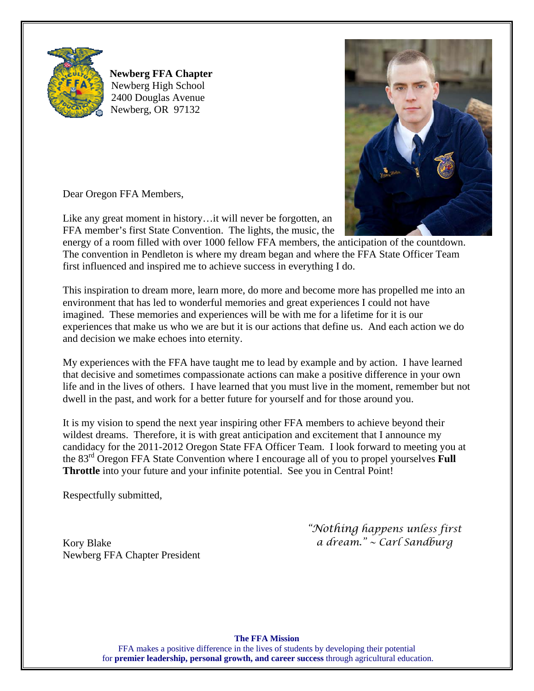

**Newberg FFA Chapter** Newberg High School 2400 Douglas Avenue Newberg, OR 97132



Dear Oregon FFA Members,

Like any great moment in history…it will never be forgotten, an FFA member's first State Convention. The lights, the music, the

energy of a room filled with over 1000 fellow FFA members, the anticipation of the countdown. The convention in Pendleton is where my dream began and where the FFA State Officer Team first influenced and inspired me to achieve success in everything I do.

This inspiration to dream more, learn more, do more and become more has propelled me into an environment that has led to wonderful memories and great experiences I could not have imagined. These memories and experiences will be with me for a lifetime for it is our experiences that make us who we are but it is our actions that define us. And each action we do and decision we make echoes into eternity.

My experiences with the FFA have taught me to lead by example and by action. I have learned that decisive and sometimes compassionate actions can make a positive difference in your own life and in the lives of others. I have learned that you must live in the moment, remember but not dwell in the past, and work for a better future for yourself and for those around you.

It is my vision to spend the next year inspiring other FFA members to achieve beyond their wildest dreams. Therefore, it is with great anticipation and excitement that I announce my candidacy for the 2011-2012 Oregon State FFA Officer Team. I look forward to meeting you at the 83rd Oregon FFA State Convention where I encourage all of you to propel yourselves **Full Throttle** into your future and your infinite potential. See you in Central Point!

Respectfully submitted,

Kory Blake Newberg FFA Chapter President *"Nothing happens unless first a dream." ~ Carl Sandburg* 

## **The FFA Mission**

FFA makes a positive difference in the lives of students by developing their potential for **premier leadership, personal growth, and career success** through agricultural education.